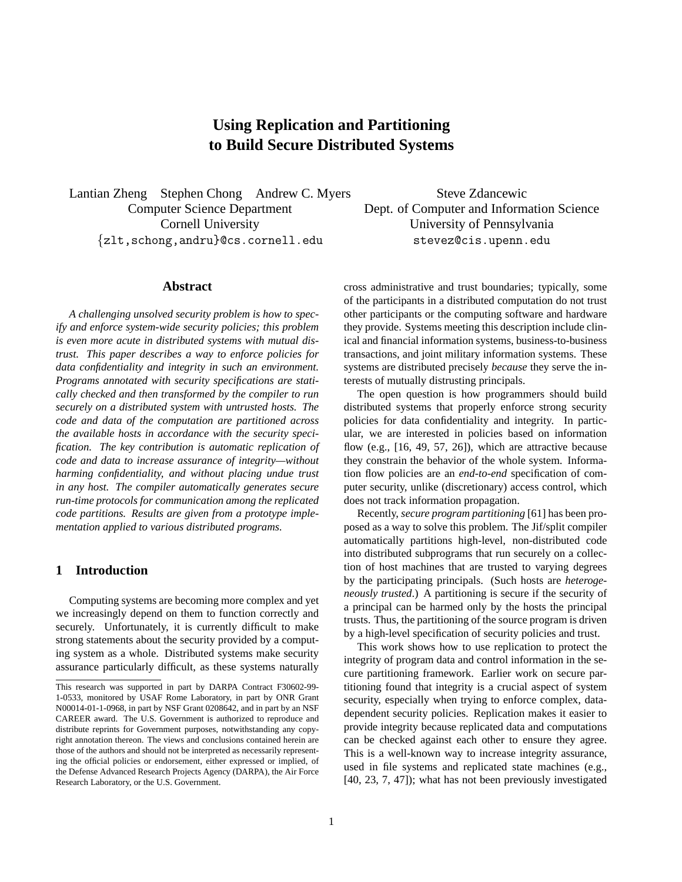# **Using Replication and Partitioning to Build Secure Distributed Systems**

Lantian Zheng Stephen Chong Andrew C. Myers Steve Zdancewic {zlt,schong,andru}@cs.cornell.edu stevez@cis.upenn.edu

# **Abstract**

*A challenging unsolved security problem is how to specify and enforce system-wide security policies; this problem is even more acute in distributed systems with mutual distrust. This paper describes a way to enforce policies for data confidentiality and integrity in such an environment. Programs annotated with security specifications are statically checked and then transformed by the compiler to run securely on a distributed system with untrusted hosts. The code and data of the computation are partitioned across the available hosts in accordance with the security specification. The key contribution is automatic replication of code and data to increase assurance of integrity—without harming confidentiality, and without placing undue trust in any host. The compiler automatically generates secure run-time protocols for communication among the replicated code partitions. Results are given from a prototype implementation applied to various distributed programs.*

# **1 Introduction**

Computing systems are becoming more complex and yet we increasingly depend on them to function correctly and securely. Unfortunately, it is currently difficult to make strong statements about the security provided by a computing system as a whole. Distributed systems make security assurance particularly difficult, as these systems naturally

Computer Science Department Dept. of Computer and Information Science Cornell University University University of Pennsylvania

> cross administrative and trust boundaries; typically, some of the participants in a distributed computation do not trust other participants or the computing software and hardware they provide. Systems meeting this description include clinical and financial information systems, business-to-business transactions, and joint military information systems. These systems are distributed precisely *because* they serve the interests of mutually distrusting principals.

> The open question is how programmers should build distributed systems that properly enforce strong security policies for data confidentiality and integrity. In particular, we are interested in policies based on information flow (e.g., [16, 49, 57, 26]), which are attractive because they constrain the behavior of the whole system. Information flow policies are an *end-to-end* specification of computer security, unlike (discretionary) access control, which does not track information propagation.

> Recently, *secure program partitioning* [61] has been proposed as a way to solve this problem. The Jif/split compiler automatically partitions high-level, non-distributed code into distributed subprograms that run securely on a collection of host machines that are trusted to varying degrees by the participating principals. (Such hosts are *heterogeneously trusted*.) A partitioning is secure if the security of a principal can be harmed only by the hosts the principal trusts. Thus, the partitioning of the source program is driven by a high-level specification of security policies and trust.

> This work shows how to use replication to protect the integrity of program data and control information in the secure partitioning framework. Earlier work on secure partitioning found that integrity is a crucial aspect of system security, especially when trying to enforce complex, datadependent security policies. Replication makes it easier to provide integrity because replicated data and computations can be checked against each other to ensure they agree. This is a well-known way to increase integrity assurance, used in file systems and replicated state machines (e.g., [40, 23, 7, 47]); what has not been previously investigated

This research was supported in part by DARPA Contract F30602-99- 1-0533, monitored by USAF Rome Laboratory, in part by ONR Grant N00014-01-1-0968, in part by NSF Grant 0208642, and in part by an NSF CAREER award. The U.S. Government is authorized to reproduce and distribute reprints for Government purposes, notwithstanding any copyright annotation thereon. The views and conclusions contained herein are those of the authors and should not be interpreted as necessarily representing the official policies or endorsement, either expressed or implied, of the Defense Advanced Research Projects Agency (DARPA), the Air Force Research Laboratory, or the U.S. Government.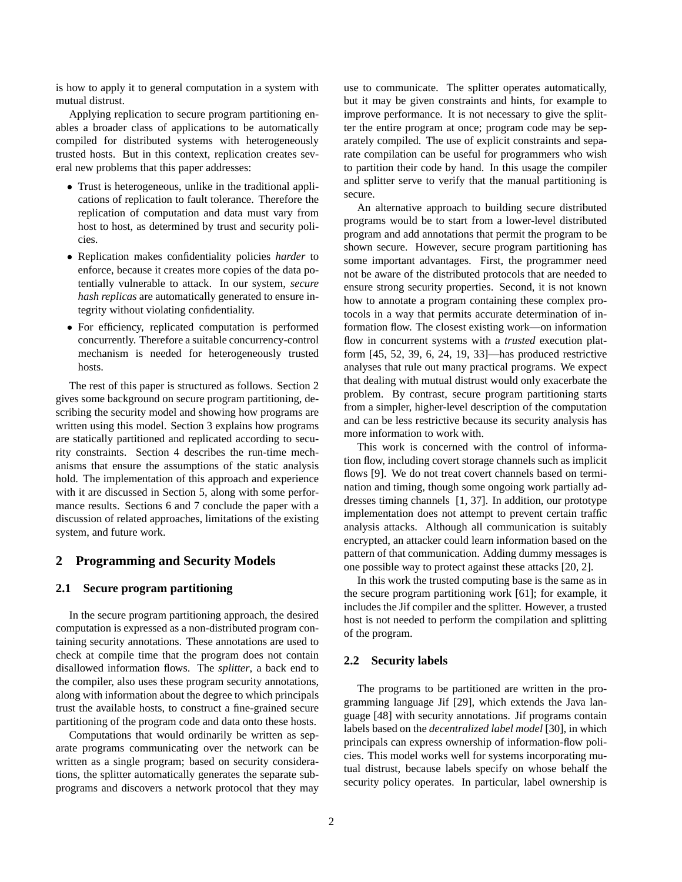is how to apply it to general computation in a system with mutual distrust.

Applying replication to secure program partitioning enables a broader class of applications to be automatically compiled for distributed systems with heterogeneously trusted hosts. But in this context, replication creates several new problems that this paper addresses:

- Trust is heterogeneous, unlike in the traditional applications of replication to fault tolerance. Therefore the replication of computation and data must vary from host to host, as determined by trust and security policies.
- Replication makes confidentiality policies *harder* to enforce, because it creates more copies of the data potentially vulnerable to attack. In our system, *secure hash replicas* are automatically generated to ensure integrity without violating confidentiality.
- For efficiency, replicated computation is performed concurrently. Therefore a suitable concurrency-control mechanism is needed for heterogeneously trusted hosts.

The rest of this paper is structured as follows. Section 2 gives some background on secure program partitioning, describing the security model and showing how programs are written using this model. Section 3 explains how programs are statically partitioned and replicated according to security constraints. Section 4 describes the run-time mechanisms that ensure the assumptions of the static analysis hold. The implementation of this approach and experience with it are discussed in Section 5, along with some performance results. Sections 6 and 7 conclude the paper with a discussion of related approaches, limitations of the existing system, and future work.

# **2 Programming and Security Models**

# **2.1 Secure program partitioning**

In the secure program partitioning approach, the desired computation is expressed as a non-distributed program containing security annotations. These annotations are used to check at compile time that the program does not contain disallowed information flows. The *splitter*, a back end to the compiler, also uses these program security annotations, along with information about the degree to which principals trust the available hosts, to construct a fine-grained secure partitioning of the program code and data onto these hosts.

Computations that would ordinarily be written as separate programs communicating over the network can be written as a single program; based on security considerations, the splitter automatically generates the separate subprograms and discovers a network protocol that they may use to communicate. The splitter operates automatically, but it may be given constraints and hints, for example to improve performance. It is not necessary to give the splitter the entire program at once; program code may be separately compiled. The use of explicit constraints and separate compilation can be useful for programmers who wish to partition their code by hand. In this usage the compiler and splitter serve to verify that the manual partitioning is secure.

An alternative approach to building secure distributed programs would be to start from a lower-level distributed program and add annotations that permit the program to be shown secure. However, secure program partitioning has some important advantages. First, the programmer need not be aware of the distributed protocols that are needed to ensure strong security properties. Second, it is not known how to annotate a program containing these complex protocols in a way that permits accurate determination of information flow. The closest existing work—on information flow in concurrent systems with a *trusted* execution platform [45, 52, 39, 6, 24, 19, 33]—has produced restrictive analyses that rule out many practical programs. We expect that dealing with mutual distrust would only exacerbate the problem. By contrast, secure program partitioning starts from a simpler, higher-level description of the computation and can be less restrictive because its security analysis has more information to work with.

This work is concerned with the control of information flow, including covert storage channels such as implicit flows [9]. We do not treat covert channels based on termination and timing, though some ongoing work partially addresses timing channels [1, 37]. In addition, our prototype implementation does not attempt to prevent certain traffic analysis attacks. Although all communication is suitably encrypted, an attacker could learn information based on the pattern of that communication. Adding dummy messages is one possible way to protect against these attacks [20, 2].

In this work the trusted computing base is the same as in the secure program partitioning work [61]; for example, it includes the Jif compiler and the splitter. However, a trusted host is not needed to perform the compilation and splitting of the program.

### **2.2 Security labels**

The programs to be partitioned are written in the programming language Jif [29], which extends the Java language [48] with security annotations. Jif programs contain labels based on the *decentralized label model* [30], in which principals can express ownership of information-flow policies. This model works well for systems incorporating mutual distrust, because labels specify on whose behalf the security policy operates. In particular, label ownership is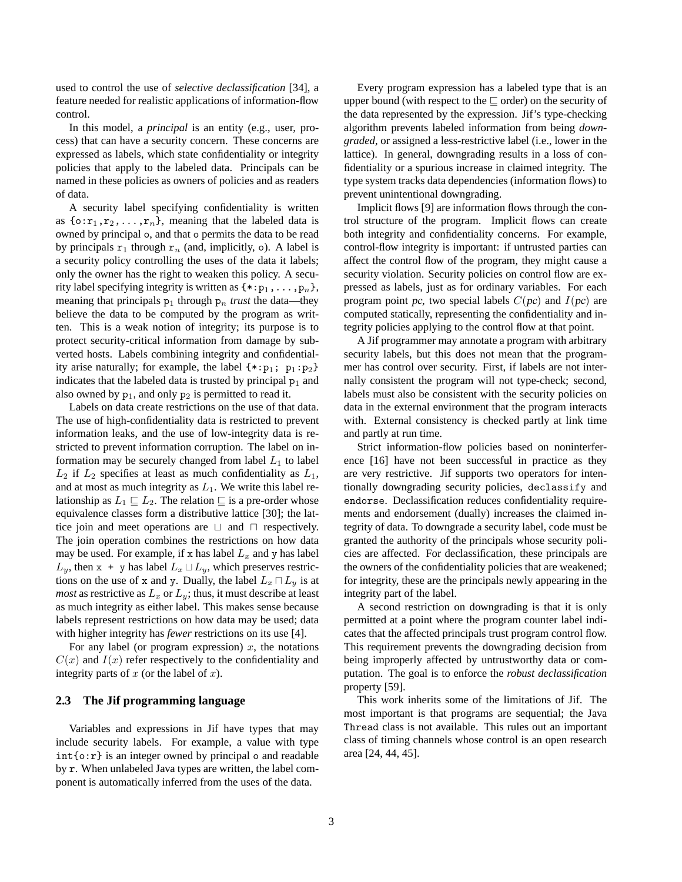used to control the use of *selective declassification* [34], a feature needed for realistic applications of information-flow control.

In this model, a *principal* is an entity (e.g., user, process) that can have a security concern. These concerns are expressed as labels, which state confidentiality or integrity policies that apply to the labeled data. Principals can be named in these policies as owners of policies and as readers of data.

A security label specifying confidentiality is written as  $\{o:r_1,r_2,\ldots,r_n\}$ , meaning that the labeled data is owned by principal o, and that o permits the data to be read by principals  $r_1$  through  $r_n$  (and, implicitly, o). A label is a security policy controlling the uses of the data it labels; only the owner has the right to weaken this policy. A security label specifying integrity is written as  $\{*,p_1,\ldots,p_n\}$ , meaning that principals  $p_1$  through  $p_n$  *trust* the data—they believe the data to be computed by the program as written. This is a weak notion of integrity; its purpose is to protect security-critical information from damage by subverted hosts. Labels combining integrity and confidentiality arise naturally; for example, the label  $\{*_:p_1; p_1:p_2\}$ indicates that the labeled data is trusted by principal  $p_1$  and also owned by  $p_1$ , and only  $p_2$  is permitted to read it.

Labels on data create restrictions on the use of that data. The use of high-confidentiality data is restricted to prevent information leaks, and the use of low-integrity data is restricted to prevent information corruption. The label on information may be securely changed from label  $L_1$  to label  $L_2$  if  $L_2$  specifies at least as much confidentiality as  $L_1$ , and at most as much integrity as  $L_1$ . We write this label relationship as  $L_1 \sqsubseteq L_2$ . The relation  $\sqsubseteq$  is a pre-order whose equivalence classes form a distributive lattice [30]; the lattice join and meet operations are  $\Box$  and  $\Box$  respectively. The join operation combines the restrictions on how data may be used. For example, if x has label  $L_x$  and y has label  $L_y$ , then x + y has label  $L_x \sqcup L_y$ , which preserves restrictions on the use of x and y. Dually, the label  $L_x \sqcap L_y$  is at *most* as restrictive as  $L_x$  or  $L_y$ ; thus, it must describe at least as much integrity as either label. This makes sense because labels represent restrictions on how data may be used; data with higher integrity has *fewer* restrictions on its use [4].

For any label (or program expression)  $x$ , the notations  $C(x)$  and  $I(x)$  refer respectively to the confidentiality and integrity parts of  $x$  (or the label of  $x$ ).

### **2.3 The Jif programming language**

Variables and expressions in Jif have types that may include security labels. For example, a value with type  $int{o:r}$  is an integer owned by principal o and readable by r. When unlabeled Java types are written, the label component is automatically inferred from the uses of the data.

Every program expression has a labeled type that is an upper bound (with respect to the  $\sqsubseteq$  order) on the security of the data represented by the expression. Jif's type-checking algorithm prevents labeled information from being *downgraded*, or assigned a less-restrictive label (i.e., lower in the lattice). In general, downgrading results in a loss of confidentiality or a spurious increase in claimed integrity. The type system tracks data dependencies (information flows) to prevent unintentional downgrading.

Implicit flows [9] are information flows through the control structure of the program. Implicit flows can create both integrity and confidentiality concerns. For example, control-flow integrity is important: if untrusted parties can affect the control flow of the program, they might cause a security violation. Security policies on control flow are expressed as labels, just as for ordinary variables. For each program point pc, two special labels  $C(pc)$  and  $I(pc)$  are computed statically, representing the confidentiality and integrity policies applying to the control flow at that point.

A Jif programmer may annotate a program with arbitrary security labels, but this does not mean that the programmer has control over security. First, if labels are not internally consistent the program will not type-check; second, labels must also be consistent with the security policies on data in the external environment that the program interacts with. External consistency is checked partly at link time and partly at run time.

Strict information-flow policies based on noninterference [16] have not been successful in practice as they are very restrictive. Jif supports two operators for intentionally downgrading security policies, declassify and endorse. Declassification reduces confidentiality requirements and endorsement (dually) increases the claimed integrity of data. To downgrade a security label, code must be granted the authority of the principals whose security policies are affected. For declassification, these principals are the owners of the confidentiality policies that are weakened; for integrity, these are the principals newly appearing in the integrity part of the label.

A second restriction on downgrading is that it is only permitted at a point where the program counter label indicates that the affected principals trust program control flow. This requirement prevents the downgrading decision from being improperly affected by untrustworthy data or computation. The goal is to enforce the *robust declassification* property [59].

This work inherits some of the limitations of Jif. The most important is that programs are sequential; the Java Thread class is not available. This rules out an important class of timing channels whose control is an open research area [24, 44, 45].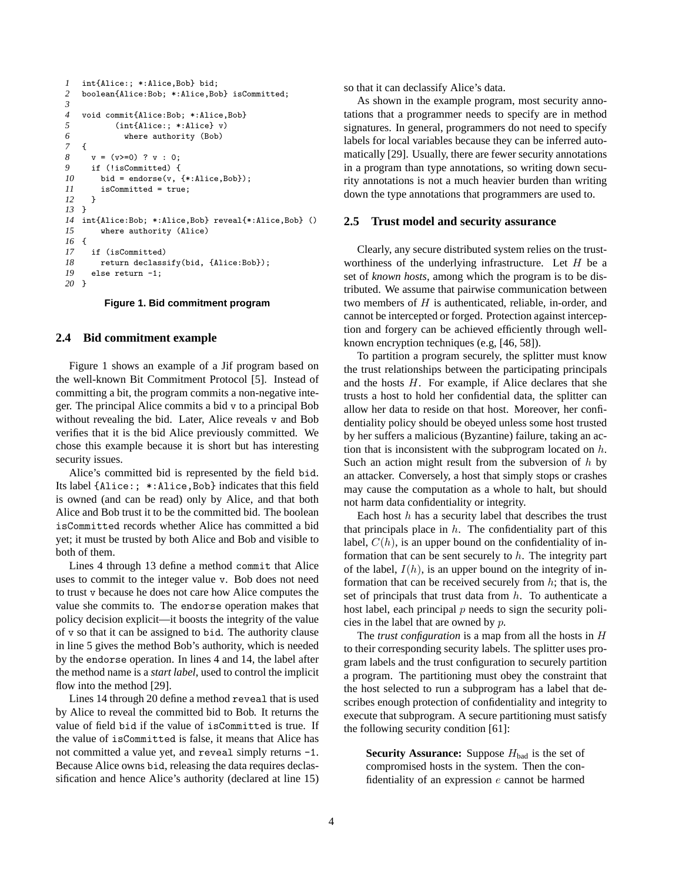```
1 int{Alice:; *:Alice,Bob} bid;
2 boolean{Alice:Bob; *:Alice,Bob} isCommitted;
3
4 void commit{Alice:Bob; *:Alice,Bob}
5 (int{Alice:; *:Alice} v)<br>6 where authority (Bob)
6 where authority (Bob)
   7 {
8 v = (v>=0) ? v : 0;
     9 if (!isCommitted) {
10 bid = endorse(v, {*:Alice,Bob});
11 isCommitted = true;
12 }
13 }
14 int{Alice:Bob; *:Alice,Bob} reveal{*:Alice,Bob} ()
15 where authority (Alice)
16 {
17 if (isCommitted)
18 return declassify(bid, {Alice:Bob});
19 else return -1;
20 }
```
**Figure 1. Bid commitment program**

### **2.4 Bid commitment example**

Figure 1 shows an example of a Jif program based on the well-known Bit Commitment Protocol [5]. Instead of committing a bit, the program commits a non-negative integer. The principal Alice commits a bid v to a principal Bob without revealing the bid. Later, Alice reveals v and Bob verifies that it is the bid Alice previously committed. We chose this example because it is short but has interesting security issues.

Alice's committed bid is represented by the field bid. Its label {Alice:; \*:Alice,Bob} indicates that this field is owned (and can be read) only by Alice, and that both Alice and Bob trust it to be the committed bid. The boolean isCommitted records whether Alice has committed a bid yet; it must be trusted by both Alice and Bob and visible to both of them.

Lines 4 through 13 define a method commit that Alice uses to commit to the integer value v. Bob does not need to trust v because he does not care how Alice computes the value she commits to. The endorse operation makes that policy decision explicit—it boosts the integrity of the value of v so that it can be assigned to bid. The authority clause in line 5 gives the method Bob's authority, which is needed by the endorse operation. In lines 4 and 14, the label after the method name is a *start label*, used to control the implicit flow into the method [29].

Lines 14 through 20 define a method reveal that is used by Alice to reveal the committed bid to Bob. It returns the value of field bid if the value of isCommitted is true. If the value of isCommitted is false, it means that Alice has not committed a value yet, and reveal simply returns -1. Because Alice owns bid, releasing the data requires declassification and hence Alice's authority (declared at line 15) so that it can declassify Alice's data.

As shown in the example program, most security annotations that a programmer needs to specify are in method signatures. In general, programmers do not need to specify labels for local variables because they can be inferred automatically [29]. Usually, there are fewer security annotations in a program than type annotations, so writing down security annotations is not a much heavier burden than writing down the type annotations that programmers are used to.

#### **2.5 Trust model and security assurance**

Clearly, any secure distributed system relies on the trustworthiness of the underlying infrastructure. Let  $H$  be a set of *known hosts*, among which the program is to be distributed. We assume that pairwise communication between two members of  $H$  is authenticated, reliable, in-order, and cannot be intercepted or forged. Protection against interception and forgery can be achieved efficiently through wellknown encryption techniques (e.g, [46, 58]).

To partition a program securely, the splitter must know the trust relationships between the participating principals and the hosts  $H$ . For example, if Alice declares that she trusts a host to hold her confidential data, the splitter can allow her data to reside on that host. Moreover, her confidentiality policy should be obeyed unless some host trusted by her suffers a malicious (Byzantine) failure, taking an action that is inconsistent with the subprogram located on  $h$ . Such an action might result from the subversion of  $h$  by an attacker. Conversely, a host that simply stops or crashes may cause the computation as a whole to halt, but should not harm data confidentiality or integrity.

Each host  $h$  has a security label that describes the trust that principals place in  $h$ . The confidentiality part of this label,  $C(h)$ , is an upper bound on the confidentiality of information that can be sent securely to  $h$ . The integrity part of the label,  $I(h)$ , is an upper bound on the integrity of information that can be received securely from  $h$ ; that is, the set of principals that trust data from  $h$ . To authenticate a host label, each principal  $p$  needs to sign the security policies in the label that are owned by p.

The *trust configuration* is a map from all the hosts in H to their corresponding security labels. The splitter uses program labels and the trust configuration to securely partition a program. The partitioning must obey the constraint that the host selected to run a subprogram has a label that describes enough protection of confidentiality and integrity to execute that subprogram. A secure partitioning must satisfy the following security condition [61]:

**Security Assurance:** Suppose  $H_{bad}$  is the set of compromised hosts in the system. Then the confidentiality of an expression  $e$  cannot be harmed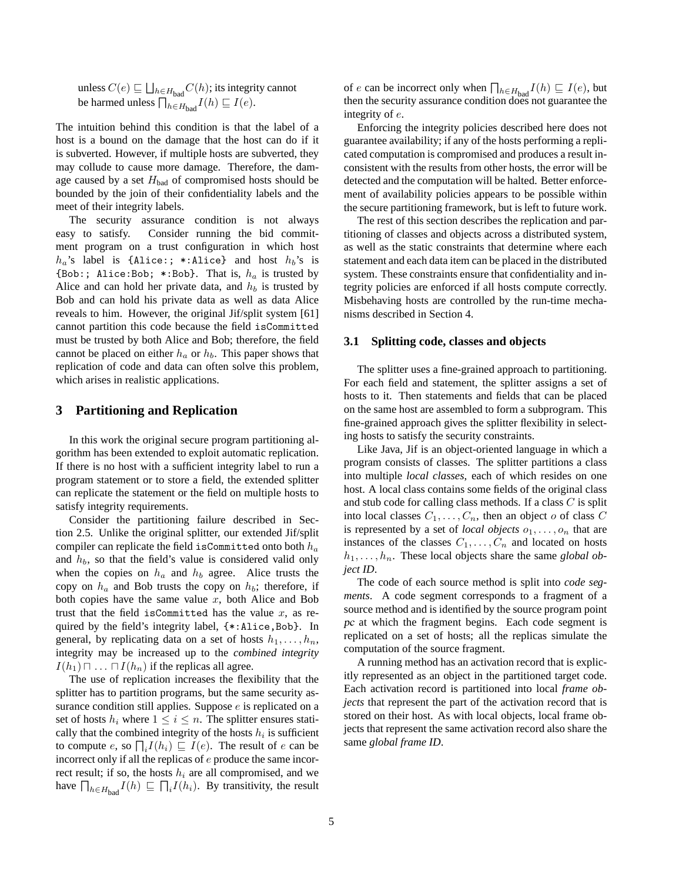unless  $C(e) \sqsubseteq \bigsqcup_{h \in H_{bad}} C(h)$ ; its integrity cannot be harmed unless  $\prod_{h \in H_{bad}} I(h) \sqsubseteq I(e)$ .

The intuition behind this condition is that the label of a host is a bound on the damage that the host can do if it is subverted. However, if multiple hosts are subverted, they may collude to cause more damage. Therefore, the damage caused by a set  $H_{bad}$  of compromised hosts should be bounded by the join of their confidentiality labels and the meet of their integrity labels.

The security assurance condition is not always easy to satisfy. Consider running the bid commitment program on a trust configuration in which host  $h_a$ 's label is {Alice:; \*:Alice} and host  $h_b$ 's is {Bob:; Alice:Bob; \*:Bob}. That is,  $h_a$  is trusted by Alice and can hold her private data, and  $h_b$  is trusted by Bob and can hold his private data as well as data Alice reveals to him. However, the original Jif/split system [61] cannot partition this code because the field isCommitted must be trusted by both Alice and Bob; therefore, the field cannot be placed on either  $h_a$  or  $h_b$ . This paper shows that replication of code and data can often solve this problem, which arises in realistic applications.

# **3 Partitioning and Replication**

In this work the original secure program partitioning algorithm has been extended to exploit automatic replication. If there is no host with a sufficient integrity label to run a program statement or to store a field, the extended splitter can replicate the statement or the field on multiple hosts to satisfy integrity requirements.

Consider the partitioning failure described in Section 2.5. Unlike the original splitter, our extended Jif/split compiler can replicate the field is Committed onto both  $h_a$ and  $h_b$ , so that the field's value is considered valid only when the copies on  $h_a$  and  $h_b$  agree. Alice trusts the copy on  $h_a$  and Bob trusts the copy on  $h_b$ ; therefore, if both copies have the same value  $x$ , both Alice and Bob trust that the field is Committed has the value  $x$ , as required by the field's integrity label, {\*:Alice,Bob}. In general, by replicating data on a set of hosts  $h_1, \ldots, h_n$ , integrity may be increased up to the *combined integrity*  $I(h_1)\sqcap \ldots \sqcap I(h_n)$  if the replicas all agree.

The use of replication increases the flexibility that the splitter has to partition programs, but the same security assurance condition still applies. Suppose  $e$  is replicated on a set of hosts  $h_i$  where  $1 \leq i \leq n$ . The splitter ensures statically that the combined integrity of the hosts  $h_i$  is sufficient to compute  $e$ , so  $\prod_i I(h_i) \sqsubseteq I(e)$ . The result of  $e$  can be incorrect only if all the replicas of e produce the same incorrect result; if so, the hosts  $h_i$  are all compromised, and we have  $\prod_{h \in H_{bad}} I(h) \sqsubseteq \prod_i I(h_i)$ . By transitivity, the result

of e can be incorrect only when  $\prod_{h \in H_{bad}} I(h) \sqsubseteq I(e)$ , but then the security assurance condition does not guarantee the integrity of e.

Enforcing the integrity policies described here does not guarantee availability; if any of the hosts performing a replicated computation is compromised and produces a result inconsistent with the results from other hosts, the error will be detected and the computation will be halted. Better enforcement of availability policies appears to be possible within the secure partitioning framework, but is left to future work.

The rest of this section describes the replication and partitioning of classes and objects across a distributed system, as well as the static constraints that determine where each statement and each data item can be placed in the distributed system. These constraints ensure that confidentiality and integrity policies are enforced if all hosts compute correctly. Misbehaving hosts are controlled by the run-time mechanisms described in Section 4.

### **3.1 Splitting code, classes and objects**

The splitter uses a fine-grained approach to partitioning. For each field and statement, the splitter assigns a set of hosts to it. Then statements and fields that can be placed on the same host are assembled to form a subprogram. This fine-grained approach gives the splitter flexibility in selecting hosts to satisfy the security constraints.

Like Java, Jif is an object-oriented language in which a program consists of classes. The splitter partitions a class into multiple *local classes*, each of which resides on one host. A local class contains some fields of the original class and stub code for calling class methods. If a class  $C$  is split into local classes  $C_1, \ldots, C_n$ , then an object o of class C is represented by a set of *local objects*  $o_1, \ldots, o_n$  that are instances of the classes  $C_1, \ldots, C_n$  and located on hosts  $h_1, \ldots, h_n$ . These local objects share the same *global object ID*.

The code of each source method is split into *code segments*. A code segment corresponds to a fragment of a source method and is identified by the source program point pc at which the fragment begins. Each code segment is replicated on a set of hosts; all the replicas simulate the computation of the source fragment.

A running method has an activation record that is explicitly represented as an object in the partitioned target code. Each activation record is partitioned into local *frame objects* that represent the part of the activation record that is stored on their host. As with local objects, local frame objects that represent the same activation record also share the same *global frame ID*.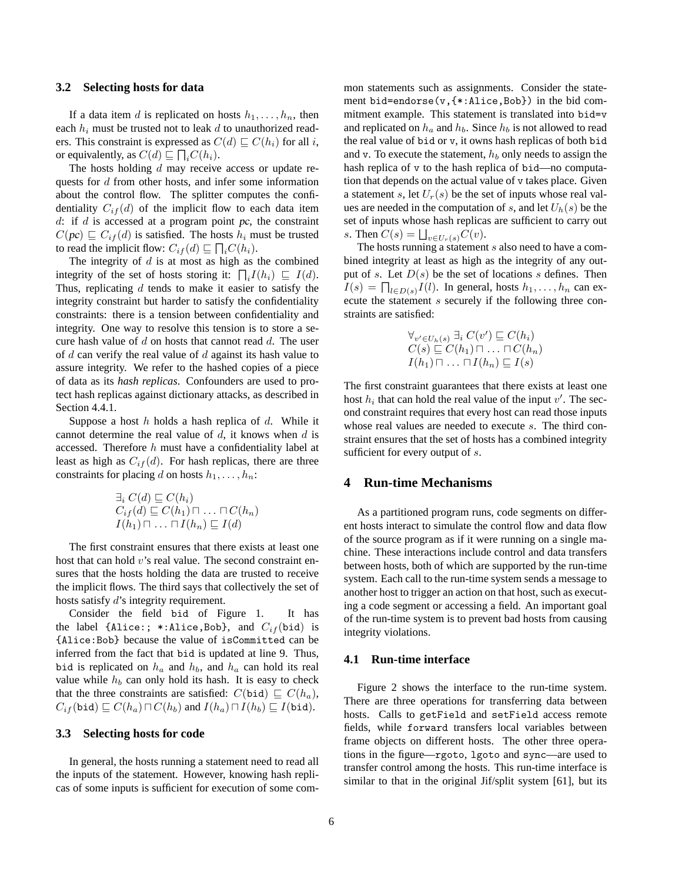### **3.2 Selecting hosts for data**

If a data item d is replicated on hosts  $h_1, \ldots, h_n$ , then each  $h_i$  must be trusted not to leak d to unauthorized readers. This constraint is expressed as  $C(d) \sqsubseteq C(h_i)$  for all i, or equivalently, as  $C(d) \sqsubset \prod_i C(h_i)$ .

The hosts holding  $d$  may receive access or update requests for d from other hosts, and infer some information about the control flow. The splitter computes the confidentiality  $C_{if}(d)$  of the implicit flow to each data item  $d$ : if  $d$  is accessed at a program point  $pc$ , the constraint  $C(pc) \sqsubseteq C_{if}(d)$  is satisfied. The hosts  $h_i$  must be trusted to read the implicit flow:  $C_{if}(d) \sqsubseteq \bigcap_i C(h_i)$ .

The integrity of  $d$  is at most as high as the combined integrity of the set of hosts storing it:  $\prod_i I(h_i) \sqsubseteq I(d)$ . Thus, replicating  $d$  tends to make it easier to satisfy the integrity constraint but harder to satisfy the confidentiality constraints: there is a tension between confidentiality and integrity. One way to resolve this tension is to store a secure hash value of  $d$  on hosts that cannot read  $d$ . The user of  $d$  can verify the real value of  $d$  against its hash value to assure integrity. We refer to the hashed copies of a piece of data as its *hash replicas*. Confounders are used to protect hash replicas against dictionary attacks, as described in Section 4.4.1.

Suppose a host  $h$  holds a hash replica of  $d$ . While it cannot determine the real value of  $d$ , it knows when  $d$  is accessed. Therefore h must have a confidentiality label at least as high as  $C_{if}(d)$ . For hash replicas, there are three constraints for placing d on hosts  $h_1, \ldots, h_n$ :

$$
\exists_i C(d) \sqsubseteq C(h_i) C_{if}(d) \sqsubseteq C(h_1) \sqcap \ldots \sqcap C(h_n) I(h_1) \sqcap \ldots \sqcap I(h_n) \sqsubseteq I(d)
$$

The first constraint ensures that there exists at least one host that can hold v's real value. The second constraint ensures that the hosts holding the data are trusted to receive the implicit flows. The third says that collectively the set of hosts satisfy d's integrity requirement.

Consider the field bid of Figure 1. It has the label {Alice:; \*:Alice,Bob}, and  $C_{if}$ (bid) is {Alice:Bob} because the value of isCommitted can be inferred from the fact that bid is updated at line 9. Thus, bid is replicated on  $h_a$  and  $h_b$ , and  $h_a$  can hold its real value while  $h_b$  can only hold its hash. It is easy to check that the three constraints are satisfied:  $C(\text{bid}) \subseteq C(h_a)$ ,  $C_{if}(\text{bid}) \sqsubseteq C(h_a) \sqcap C(h_b)$  and  $I(h_a) \sqcap I(h_b) \sqsubseteq I(\text{bid}).$ 

### **3.3 Selecting hosts for code**

In general, the hosts running a statement need to read all the inputs of the statement. However, knowing hash replicas of some inputs is sufficient for execution of some common statements such as assignments. Consider the statement bid=endorse(v,{\*:Alice,Bob}) in the bid commitment example. This statement is translated into bid=v and replicated on  $h_a$  and  $h_b$ . Since  $h_b$  is not allowed to read the real value of bid or v, it owns hash replicas of both bid and v. To execute the statement,  $h_b$  only needs to assign the hash replica of v to the hash replica of bid—no computation that depends on the actual value of v takes place. Given a statement s, let  $U_r(s)$  be the set of inputs whose real values are needed in the computation of s, and let  $U_h(s)$  be the set of inputs whose hash replicas are sufficient to carry out s. Then  $C(s) = \bigsqcup_{v \in U_r(s)} C(v)$ .

The hosts running a statement  $s$  also need to have a combined integrity at least as high as the integrity of any output of s. Let  $D(s)$  be the set of locations s defines. Then  $I(s) = \prod_{l \in D(s)} I(l)$ . In general, hosts  $h_1, \ldots, h_n$  can execute the statement s securely if the following three constraints are satisfied:

$$
\forall_{v' \in U_h(s)} \exists_i C(v') \sqsubseteq C(h_i)
$$
  

$$
C(s) \sqsubseteq C(h_1) \sqcap \ldots \sqcap C(h_n)
$$
  

$$
I(h_1) \sqcap \ldots \sqcap I(h_n) \sqsubseteq I(s)
$$

The first constraint guarantees that there exists at least one host  $h_i$  that can hold the real value of the input  $v'$ . The second constraint requires that every host can read those inputs whose real values are needed to execute s. The third constraint ensures that the set of hosts has a combined integrity sufficient for every output of  $s$ .

# **4 Run-time Mechanisms**

As a partitioned program runs, code segments on different hosts interact to simulate the control flow and data flow of the source program as if it were running on a single machine. These interactions include control and data transfers between hosts, both of which are supported by the run-time system. Each call to the run-time system sends a message to another host to trigger an action on that host, such as executing a code segment or accessing a field. An important goal of the run-time system is to prevent bad hosts from causing integrity violations.

# **4.1 Run-time interface**

Figure 2 shows the interface to the run-time system. There are three operations for transferring data between hosts. Calls to getField and setField access remote fields, while forward transfers local variables between frame objects on different hosts. The other three operations in the figure—rgoto, lgoto and sync—are used to transfer control among the hosts. This run-time interface is similar to that in the original Jif/split system [61], but its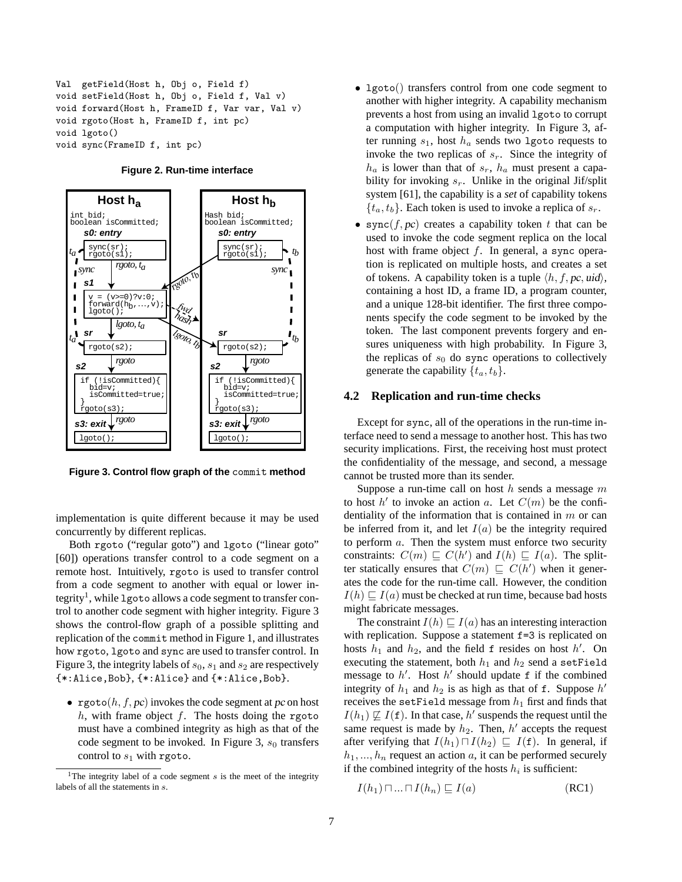```
Val getField(Host h, Obj o, Field f)
void setField(Host h, Obj o, Field f, Val v)
void forward(Host h, FrameID f, Var var, Val v)
void rgoto(Host h, FrameID f, int pc)
void lgoto()
void sync(FrameID f, int pc)
```




**Figure 3. Control flow graph of the** commit **method**

implementation is quite different because it may be used concurrently by different replicas.

Both rgoto ("regular goto") and lgoto ("linear goto" [60]) operations transfer control to a code segment on a remote host. Intuitively, rgoto is used to transfer control from a code segment to another with equal or lower integrity $^{\rm l}$  , while 1goto allows a code segment to transfer control to another code segment with higher integrity. Figure 3 shows the control-flow graph of a possible splitting and replication of the commit method in Figure 1, and illustrates how rgoto, lgoto and sync are used to transfer control. In Figure 3, the integrity labels of  $s_0$ ,  $s_1$  and  $s_2$  are respectively {\*:Alice,Bob}, {\*:Alice} and {\*:Alice,Bob}.

• rgoto( $h, f, pc$ ) invokes the code segment at pc on host  $h$ , with frame object  $f$ . The hosts doing the rgoto must have a combined integrity as high as that of the code segment to be invoked. In Figure 3,  $s_0$  transfers control to  $s_1$  with rgoto.

- lgoto() transfers control from one code segment to another with higher integrity. A capability mechanism prevents a host from using an invalid lgoto to corrupt a computation with higher integrity. In Figure 3, after running  $s_1$ , host  $h_a$  sends two 1goto requests to invoke the two replicas of  $s_r$ . Since the integrity of  $h_a$  is lower than that of  $s_r$ ,  $h_a$  must present a capability for invoking  $s_r$ . Unlike in the original Jif/split system [61], the capability is a *set* of capability tokens  $\{t_a, t_b\}$ . Each token is used to invoke a replica of  $s_r$ .
- sync $(f, pc)$  creates a capability token t that can be used to invoke the code segment replica on the local host with frame object  $f$ . In general, a sync operation is replicated on multiple hosts, and creates a set of tokens. A capability token is a tuple  $\langle h, f, pc, u \rangle$ , containing a host ID, a frame ID, a program counter, and a unique 128-bit identifier. The first three components specify the code segment to be invoked by the token. The last component prevents forgery and ensures uniqueness with high probability. In Figure 3, the replicas of  $s_0$  do sync operations to collectively generate the capability  $\{t_a, t_b\}$ .

### **4.2 Replication and run-time checks**

Except for sync, all of the operations in the run-time interface need to send a message to another host. This has two security implications. First, the receiving host must protect the confidentiality of the message, and second, a message cannot be trusted more than its sender.

Suppose a run-time call on host  $h$  sends a message  $m$ to host  $h'$  to invoke an action a. Let  $C(m)$  be the confidentiality of the information that is contained in  $m$  or can be inferred from it, and let  $I(a)$  be the integrity required to perform  $a$ . Then the system must enforce two security constraints:  $C(m) \sqsubseteq C(h')$  and  $I(h) \sqsubseteq I(a)$ . The splitter statically ensures that  $C(m) \sqsubseteq C(h')$  when it generates the code for the run-time call. However, the condition  $I(h) \sqsubset I(a)$  must be checked at run time, because bad hosts might fabricate messages.

The constraint  $I(h) \sqsubseteq I(a)$  has an interesting interaction with replication. Suppose a statement  $f=3$  is replicated on hosts  $h_1$  and  $h_2$ , and the field f resides on host  $h'$ . On executing the statement, both  $h_1$  and  $h_2$  send a setField message to  $h'$ . Host  $h'$  should update f if the combined integrity of  $h_1$  and  $h_2$  is as high as that of f. Suppose  $h'$ receives the setField message from  $h_1$  first and finds that  $I(h_1) \not\sqsubseteq I(f)$ . In that case, h' suspends the request until the same request is made by  $h_2$ . Then,  $h'$  accepts the request after verifying that  $I(h_1) \sqcap I(h_2) \sqsubseteq I(f)$ . In general, if  $h_1, ..., h_n$  request an action a, it can be performed securely if the combined integrity of the hosts  $h_i$  is sufficient:

$$
I(h_1) \sqcap ... \sqcap I(h_n) \sqsubseteq I(a) \tag{RC1}
$$

<sup>&</sup>lt;sup>1</sup>The integrity label of a code segment  $s$  is the meet of the integrity labels of all the statements in s.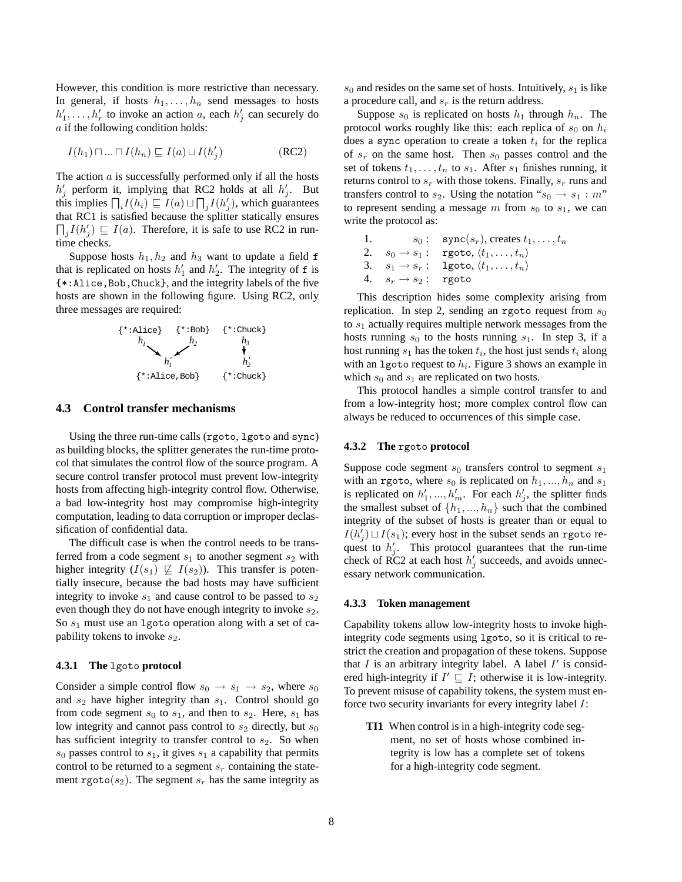However, this condition is more restrictive than necessary. In general, if hosts  $h_1, \ldots, h_n$  send messages to hosts  $h'_1, \ldots, h'_r$  to invoke an action a, each  $h'_j$  can securely do a if the following condition holds:

$$
I(h_1) \sqcap ... \sqcap I(h_n) \sqsubseteq I(a) \sqcup I(h'_j)
$$
 (RC2)

The action  $a$  is successfully performed only if all the hosts  $h'_j$  perform it, implying that RC2 holds at all  $h'_j$ . But this implies  $\prod_i I(h_i) \sqsubseteq I(a) \sqcup \prod_j I(h'_j)$ , which guarantees that RC1 is satisfied because the splitter statically ensures  $\prod_j I(h'_j) \sqsubseteq I(a)$ . Therefore, it is safe to use RC2 in runtime checks.

Suppose hosts  $h_1, h_2$  and  $h_3$  want to update a field f that is replicated on hosts  $h'_1$  and  $h'_2$ . The integrity of f is {\*:Alice,Bob,Chuck}, and the integrity labels of the five hosts are shown in the following figure. Using RC2, only three messages are required:



#### **4.3 Control transfer mechanisms**

Using the three run-time calls (rgoto, lgoto and sync) as building blocks, the splitter generates the run-time protocol that simulates the control flow of the source program. A secure control transfer protocol must prevent low-integrity hosts from affecting high-integrity control flow. Otherwise, a bad low-integrity host may compromise high-integrity computation, leading to data corruption or improper declassification of confidential data.

The difficult case is when the control needs to be transferred from a code segment  $s_1$  to another segment  $s_2$  with higher integrity  $(I(s_1) \not\sqsubseteq I(s_2))$ . This transfer is potentially insecure, because the bad hosts may have sufficient integrity to invoke  $s_1$  and cause control to be passed to  $s_2$ even though they do not have enough integrity to invoke  $s_2$ . So  $s_1$  must use an 1goto operation along with a set of capability tokens to invoke  $s_2$ .

### **4.3.1 The** lgoto **protocol**

Consider a simple control flow  $s_0 \rightarrow s_1 \rightarrow s_2$ , where  $s_0$ and  $s_2$  have higher integrity than  $s_1$ . Control should go from code segment  $s_0$  to  $s_1$ , and then to  $s_2$ . Here,  $s_1$  has low integrity and cannot pass control to  $s_2$  directly, but  $s_0$ has sufficient integrity to transfer control to  $s_2$ . So when  $s_0$  passes control to  $s_1$ , it gives  $s_1$  a capability that permits control to be returned to a segment  $s_r$  containing the statement rgoto( $s_2$ ). The segment  $s_r$  has the same integrity as  $s_0$  and resides on the same set of hosts. Intuitively,  $s_1$  is like a procedure call, and  $s_r$  is the return address.

Suppose  $s_0$  is replicated on hosts  $h_1$  through  $h_n$ . The protocol works roughly like this: each replica of  $s_0$  on  $h_i$ does a sync operation to create a token  $t_i$  for the replica of  $s_r$  on the same host. Then  $s_0$  passes control and the set of tokens  $t_1, \ldots, t_n$  to  $s_1$ . After  $s_1$  finishes running, it returns control to  $s_r$  with those tokens. Finally,  $s_r$  runs and transfers control to  $s_2$ . Using the notation " $s_0 \rightarrow s_1 : m$ " to represent sending a message  $m$  from  $s_0$  to  $s_1$ , we can write the protocol as:

|                                  | $s_0: \text{ sync}(s_r), \text{ creates } t_1, \ldots, t_n$          |
|----------------------------------|----------------------------------------------------------------------|
|                                  | 2. $s_0 \rightarrow s_1$ : rgoto, $\langle t_1, \ldots, t_n \rangle$ |
|                                  | 3. $s_1 \rightarrow s_r$ : 1goto, $\langle t_1, \ldots, t_n \rangle$ |
| 4. $s_r \rightarrow s_2$ : rgoto |                                                                      |

This description hides some complexity arising from replication. In step 2, sending an rgoto request from  $s_0$ to  $s_1$  actually requires multiple network messages from the hosts running  $s_0$  to the hosts running  $s_1$ . In step 3, if a host running  $s_1$  has the token  $t_i$ , the host just sends  $t_i$  along with an 1 goto request to  $h_i$ . Figure 3 shows an example in which  $s_0$  and  $s_1$  are replicated on two hosts.

This protocol handles a simple control transfer to and from a low-integrity host; more complex control flow can always be reduced to occurrences of this simple case.

## **4.3.2 The** rgoto **protocol**

Suppose code segment  $s_0$  transfers control to segment  $s_1$ with an rgoto, where  $s_0$  is replicated on  $h_1, ..., h_n$  and  $s_1$ is replicated on  $h'_1, ..., h'_m$ . For each  $h'_j$ , the splitter finds the smallest subset of  $\{h_1, ..., h_n\}$  such that the combined integrity of the subset of hosts is greater than or equal to  $I(h'_j) \sqcup I(s_1)$ ; every host in the subset sends an rgoto request to  $h'_j$ . This protocol guarantees that the run-time check of RC2 at each host  $h'_j$  succeeds, and avoids unnecessary network communication.

#### **4.3.3 Token management**

Capability tokens allow low-integrity hosts to invoke highintegrity code segments using lgoto, so it is critical to restrict the creation and propagation of these tokens. Suppose that  $I$  is an arbitrary integrity label. A label  $I'$  is considered high-integrity if  $I' \sqsubseteq I$ ; otherwise it is low-integrity. To prevent misuse of capability tokens, the system must enforce two security invariants for every integrity label I:

**TI1** When control is in a high-integrity code segment, no set of hosts whose combined integrity is low has a complete set of tokens for a high-integrity code segment.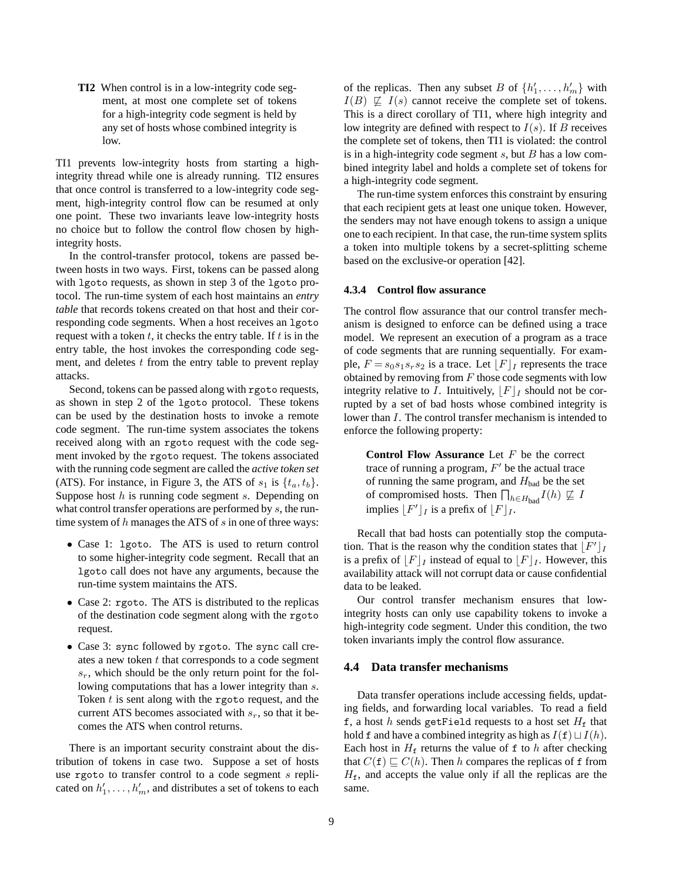**TI2** When control is in a low-integrity code segment, at most one complete set of tokens for a high-integrity code segment is held by any set of hosts whose combined integrity is low.

TI1 prevents low-integrity hosts from starting a highintegrity thread while one is already running. TI2 ensures that once control is transferred to a low-integrity code segment, high-integrity control flow can be resumed at only one point. These two invariants leave low-integrity hosts no choice but to follow the control flow chosen by highintegrity hosts.

In the control-transfer protocol, tokens are passed between hosts in two ways. First, tokens can be passed along with lgoto requests, as shown in step 3 of the lgoto protocol. The run-time system of each host maintains an *entry table* that records tokens created on that host and their corresponding code segments. When a host receives an lgoto request with a token  $t$ , it checks the entry table. If  $t$  is in the entry table, the host invokes the corresponding code segment, and deletes  $t$  from the entry table to prevent replay attacks.

Second, tokens can be passed along with rgoto requests, as shown in step 2 of the lgoto protocol. These tokens can be used by the destination hosts to invoke a remote code segment. The run-time system associates the tokens received along with an rgoto request with the code segment invoked by the rgoto request. The tokens associated with the running code segment are called the *active token set* (ATS). For instance, in Figure 3, the ATS of  $s_1$  is  $\{t_a, t_b\}$ . Suppose host  $h$  is running code segment  $s$ . Depending on what control transfer operations are performed by s, the runtime system of  $h$  manages the ATS of  $s$  in one of three ways:

- Case 1: lgoto. The ATS is used to return control to some higher-integrity code segment. Recall that an lgoto call does not have any arguments, because the run-time system maintains the ATS.
- Case 2: rgoto. The ATS is distributed to the replicas of the destination code segment along with the rgoto request.
- Case 3: sync followed by rgoto. The sync call creates a new token  $t$  that corresponds to a code segment  $s_r$ , which should be the only return point for the following computations that has a lower integrity than s. Token  $t$  is sent along with the rgoto request, and the current ATS becomes associated with  $s_r$ , so that it becomes the ATS when control returns.

There is an important security constraint about the distribution of tokens in case two. Suppose a set of hosts use rgoto to transfer control to a code segment s replicated on  $h'_1, \ldots, h'_m$ , and distributes a set of tokens to each

of the replicas. Then any subset B of  $\{h'_1, \ldots, h'_m\}$  with  $I(B) \not\sqsubseteq I(s)$  cannot receive the complete set of tokens. This is a direct corollary of TI1, where high integrity and low integrity are defined with respect to  $I(s)$ . If B receives the complete set of tokens, then TI1 is violated: the control is in a high-integrity code segment  $s$ , but  $B$  has a low combined integrity label and holds a complete set of tokens for a high-integrity code segment.

The run-time system enforces this constraint by ensuring that each recipient gets at least one unique token. However, the senders may not have enough tokens to assign a unique one to each recipient. In that case, the run-time system splits a token into multiple tokens by a secret-splitting scheme based on the exclusive-or operation [42].

#### **4.3.4 Control flow assurance**

The control flow assurance that our control transfer mechanism is designed to enforce can be defined using a trace model. We represent an execution of a program as a trace of code segments that are running sequentially. For example,  $F = s_0 s_1 s_r s_2$  is a trace. Let  $|F|_I$  represents the trace obtained by removing from  $F$  those code segments with low integrity relative to I. Intuitively,  $|F|_I$  should not be corrupted by a set of bad hosts whose combined integrity is lower than I. The control transfer mechanism is intended to enforce the following property:

**Control Flow Assurance** Let F be the correct trace of running a program,  $F'$  be the actual trace of running the same program, and  $H_{bad}$  be the set of compromised hosts. Then  $\prod_{h \in H_{bad}} I(h) \not\sqsubseteq I$ implies  $\lfloor F' \rfloor_I$  is a prefix of  $\lfloor F \rfloor_I$ .

Recall that bad hosts can potentially stop the computation. That is the reason why the condition states that  $\lfloor F' \rfloor_I$ is a prefix of  $|F|_I$  instead of equal to  $|F|_I$ . However, this availability attack will not corrupt data or cause confidential data to be leaked.

Our control transfer mechanism ensures that lowintegrity hosts can only use capability tokens to invoke a high-integrity code segment. Under this condition, the two token invariants imply the control flow assurance.

## **4.4 Data transfer mechanisms**

Data transfer operations include accessing fields, updating fields, and forwarding local variables. To read a field f, a host h sends getField requests to a host set  $H_f$  that hold f and have a combined integrity as high as  $I(f) \sqcup I(h)$ . Each host in  $H_f$  returns the value of f to h after checking that  $C(f) \sqsubseteq C(h)$ . Then h compares the replicas of f from  $H_f$ , and accepts the value only if all the replicas are the same.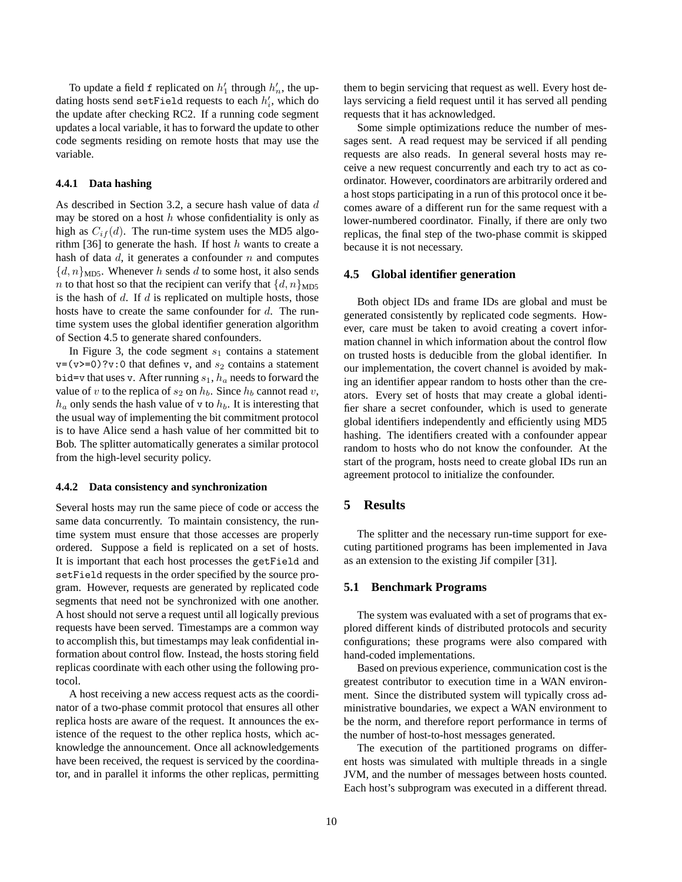To update a field f replicated on  $h'_1$  through  $h'_n$ , the updating hosts send setField requests to each  $h'_i$ , which do the update after checking RC2. If a running code segment updates a local variable, it has to forward the update to other code segments residing on remote hosts that may use the variable.

# **4.4.1 Data hashing**

As described in Section 3.2, a secure hash value of data d may be stored on a host  $h$  whose confidentiality is only as high as  $C_{if}(d)$ . The run-time system uses the MD5 algorithm [36] to generate the hash. If host  $h$  wants to create a hash of data  $d$ , it generates a confounder  $n$  and computes  ${d, n}_{MD5}$ . Whenever h sends d to some host, it also sends *n* to that host so that the recipient can verify that  $\{d, n\}_{MD5}$ is the hash of  $d$ . If  $d$  is replicated on multiple hosts, those hosts have to create the same confounder for d. The runtime system uses the global identifier generation algorithm of Section 4.5 to generate shared confounders.

In Figure 3, the code segment  $s_1$  contains a statement  $v=(v>=0)$ ?v:0 that defines v, and  $s_2$  contains a statement bid=v that uses v. After running  $s_1$ ,  $h_a$  needs to forward the value of v to the replica of  $s_2$  on  $h_b$ . Since  $h_b$  cannot read v,  $h_a$  only sends the hash value of v to  $h_b$ . It is interesting that the usual way of implementing the bit commitment protocol is to have Alice send a hash value of her committed bit to Bob. The splitter automatically generates a similar protocol from the high-level security policy.

#### **4.4.2 Data consistency and synchronization**

Several hosts may run the same piece of code or access the same data concurrently. To maintain consistency, the runtime system must ensure that those accesses are properly ordered. Suppose a field is replicated on a set of hosts. It is important that each host processes the getField and setField requests in the order specified by the source program. However, requests are generated by replicated code segments that need not be synchronized with one another. A host should not serve a request until all logically previous requests have been served. Timestamps are a common way to accomplish this, but timestamps may leak confidential information about control flow. Instead, the hosts storing field replicas coordinate with each other using the following protocol.

A host receiving a new access request acts as the coordinator of a two-phase commit protocol that ensures all other replica hosts are aware of the request. It announces the existence of the request to the other replica hosts, which acknowledge the announcement. Once all acknowledgements have been received, the request is serviced by the coordinator, and in parallel it informs the other replicas, permitting them to begin servicing that request as well. Every host delays servicing a field request until it has served all pending requests that it has acknowledged.

Some simple optimizations reduce the number of messages sent. A read request may be serviced if all pending requests are also reads. In general several hosts may receive a new request concurrently and each try to act as coordinator. However, coordinators are arbitrarily ordered and a host stops participating in a run of this protocol once it becomes aware of a different run for the same request with a lower-numbered coordinator. Finally, if there are only two replicas, the final step of the two-phase commit is skipped because it is not necessary.

# **4.5 Global identifier generation**

Both object IDs and frame IDs are global and must be generated consistently by replicated code segments. However, care must be taken to avoid creating a covert information channel in which information about the control flow on trusted hosts is deducible from the global identifier. In our implementation, the covert channel is avoided by making an identifier appear random to hosts other than the creators. Every set of hosts that may create a global identifier share a secret confounder, which is used to generate global identifiers independently and efficiently using MD5 hashing. The identifiers created with a confounder appear random to hosts who do not know the confounder. At the start of the program, hosts need to create global IDs run an agreement protocol to initialize the confounder.

# **5 Results**

The splitter and the necessary run-time support for executing partitioned programs has been implemented in Java as an extension to the existing Jif compiler [31].

### **5.1 Benchmark Programs**

The system was evaluated with a set of programs that explored different kinds of distributed protocols and security configurations; these programs were also compared with hand-coded implementations.

Based on previous experience, communication cost is the greatest contributor to execution time in a WAN environment. Since the distributed system will typically cross administrative boundaries, we expect a WAN environment to be the norm, and therefore report performance in terms of the number of host-to-host messages generated.

The execution of the partitioned programs on different hosts was simulated with multiple threads in a single JVM, and the number of messages between hosts counted. Each host's subprogram was executed in a different thread.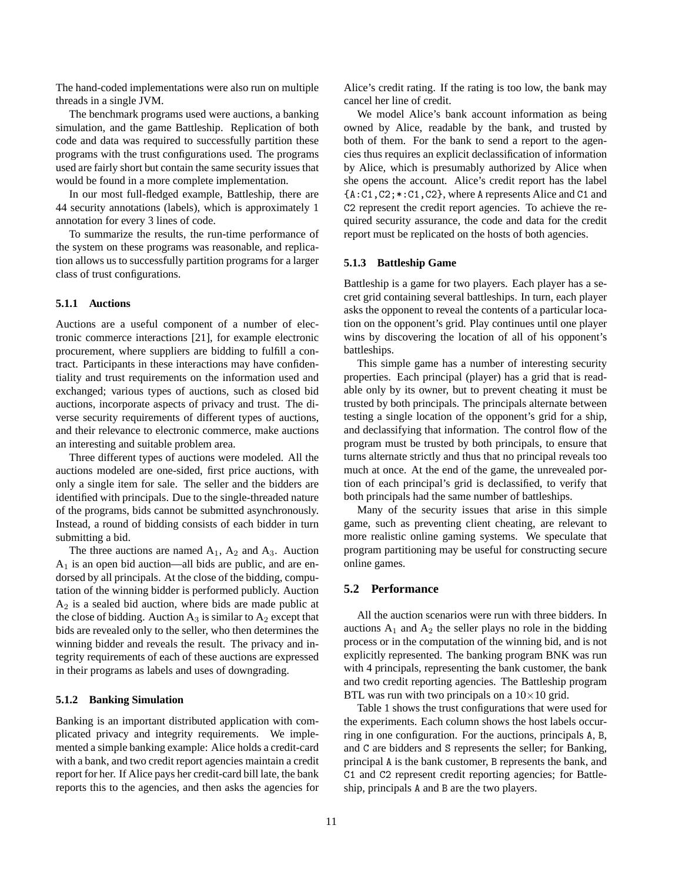The hand-coded implementations were also run on multiple threads in a single JVM.

The benchmark programs used were auctions, a banking simulation, and the game Battleship. Replication of both code and data was required to successfully partition these programs with the trust configurations used. The programs used are fairly short but contain the same security issues that would be found in a more complete implementation.

In our most full-fledged example, Battleship, there are 44 security annotations (labels), which is approximately 1 annotation for every 3 lines of code.

To summarize the results, the run-time performance of the system on these programs was reasonable, and replication allows us to successfully partition programs for a larger class of trust configurations.

### **5.1.1 Auctions**

Auctions are a useful component of a number of electronic commerce interactions [21], for example electronic procurement, where suppliers are bidding to fulfill a contract. Participants in these interactions may have confidentiality and trust requirements on the information used and exchanged; various types of auctions, such as closed bid auctions, incorporate aspects of privacy and trust. The diverse security requirements of different types of auctions, and their relevance to electronic commerce, make auctions an interesting and suitable problem area.

Three different types of auctions were modeled. All the auctions modeled are one-sided, first price auctions, with only a single item for sale. The seller and the bidders are identified with principals. Due to the single-threaded nature of the programs, bids cannot be submitted asynchronously. Instead, a round of bidding consists of each bidder in turn submitting a bid.

The three auctions are named  $A_1$ ,  $A_2$  and  $A_3$ . Auction  $A_1$  is an open bid auction—all bids are public, and are endorsed by all principals. At the close of the bidding, computation of the winning bidder is performed publicly. Auction  $A_2$  is a sealed bid auction, where bids are made public at the close of bidding. Auction  $A_3$  is similar to  $A_2$  except that bids are revealed only to the seller, who then determines the winning bidder and reveals the result. The privacy and integrity requirements of each of these auctions are expressed in their programs as labels and uses of downgrading.

# **5.1.2 Banking Simulation**

Banking is an important distributed application with complicated privacy and integrity requirements. We implemented a simple banking example: Alice holds a credit-card with a bank, and two credit report agencies maintain a credit report for her. If Alice pays her credit-card bill late, the bank reports this to the agencies, and then asks the agencies for Alice's credit rating. If the rating is too low, the bank may cancel her line of credit.

We model Alice's bank account information as being owned by Alice, readable by the bank, and trusted by both of them. For the bank to send a report to the agencies thus requires an explicit declassification of information by Alice, which is presumably authorized by Alice when she opens the account. Alice's credit report has the label {A:C1,C2;\*:C1,C2}, where A represents Alice and C1 and C2 represent the credit report agencies. To achieve the required security assurance, the code and data for the credit report must be replicated on the hosts of both agencies.

### **5.1.3 Battleship Game**

Battleship is a game for two players. Each player has a secret grid containing several battleships. In turn, each player asks the opponent to reveal the contents of a particular location on the opponent's grid. Play continues until one player wins by discovering the location of all of his opponent's battleships.

This simple game has a number of interesting security properties. Each principal (player) has a grid that is readable only by its owner, but to prevent cheating it must be trusted by both principals. The principals alternate between testing a single location of the opponent's grid for a ship, and declassifying that information. The control flow of the program must be trusted by both principals, to ensure that turns alternate strictly and thus that no principal reveals too much at once. At the end of the game, the unrevealed portion of each principal's grid is declassified, to verify that both principals had the same number of battleships.

Many of the security issues that arise in this simple game, such as preventing client cheating, are relevant to more realistic online gaming systems. We speculate that program partitioning may be useful for constructing secure online games.

# **5.2 Performance**

All the auction scenarios were run with three bidders. In auctions  $A_1$  and  $A_2$  the seller plays no role in the bidding process or in the computation of the winning bid, and is not explicitly represented. The banking program BNK was run with 4 principals, representing the bank customer, the bank and two credit reporting agencies. The Battleship program BTL was run with two principals on a  $10\times10$  grid.

Table 1 shows the trust configurations that were used for the experiments. Each column shows the host labels occurring in one configuration. For the auctions, principals A, B, and C are bidders and S represents the seller; for Banking, principal A is the bank customer, B represents the bank, and C1 and C2 represent credit reporting agencies; for Battleship, principals A and B are the two players.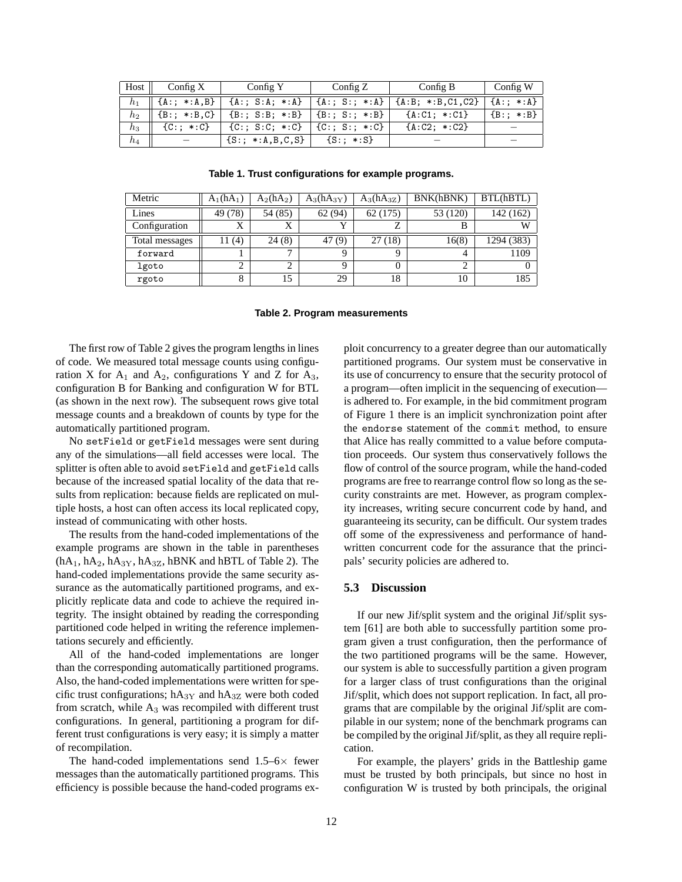| Host $\parallel$ | Config $X$         | Config Y                                                                                                                                 | Config $Z$   | Config $B$                                                                           | Config W                 |
|------------------|--------------------|------------------------------------------------------------------------------------------------------------------------------------------|--------------|--------------------------------------------------------------------------------------|--------------------------|
|                  |                    |                                                                                                                                          |              | $h_1$    {A:; *:A,B}   {A:; S:A; *:A}   {A:; S:; *:A}   {A:B; *:B,C1,C2}   {A:; *:A} |                          |
| $h_2$            |                    | $\  \{B:; *:B,C\}   \{B:; S:B; *:B\}   \{B:; S:; *:B\}  $                                                                                |              | ${A: C1; *: C1}$                                                                     | $  {B:: "B} \rangle$     |
|                  | $h_3$    {C:; *:C} | $\lceil \{\texttt{C}:; \; \texttt{S}: \texttt{C}; \; *:\texttt{C}\} \; \rceil \; \{\texttt{C}:; \; \texttt{S}:; \; *:\texttt{C}\}\rceil$ |              | ${A:C2; *:C2}$                                                                       |                          |
| $h_4$            | $\sim$ $-$         | ${S: ; *: A, B, C, S}$                                                                                                                   | ${S:}; *:S}$ |                                                                                      | $\overline{\phantom{a}}$ |

**Table 1. Trust configurations for example programs.**

| Metric         | $A_1(hA_1)$ | $A_2(hA_2)$ | $A_3(hA_{3Y})$ | $A_3(hA_{3Z})$ | BNK(hBNK) | BTL(hBTL)  |
|----------------|-------------|-------------|----------------|----------------|-----------|------------|
| Lines          | 49 (78)     | 54 (85)     | 62(94)         | 62 (175)       | 53 (120)  | 142 (162)  |
| Configuration  | Х           | ∧           |                |                | В         | W          |
| Total messages | (4)<br>11   | 24(8)       | 47(9)          | 27(18)         | 16(8)     | 1294 (383) |
| forward        |             |             | Q              |                | 4         | 1109       |
| lgoto          |             |             | Q              |                |           |            |
| rgoto          | $\circ$     | 15          | 29             | 18             | 10        | 185        |

#### **Table 2. Program measurements**

The first row of Table 2 gives the program lengths in lines of code. We measured total message counts using configuration X for  $A_1$  and  $A_2$ , configurations Y and Z for  $A_3$ , configuration B for Banking and configuration W for BTL (as shown in the next row). The subsequent rows give total message counts and a breakdown of counts by type for the automatically partitioned program.

No setField or getField messages were sent during any of the simulations—all field accesses were local. The splitter is often able to avoid setField and getField calls because of the increased spatial locality of the data that results from replication: because fields are replicated on multiple hosts, a host can often access its local replicated copy, instead of communicating with other hosts.

The results from the hand-coded implementations of the example programs are shown in the table in parentheses  $(hA_1, hA_2, hA_3y, hA_3z, hBNK$  and hBTL of Table 2). The hand-coded implementations provide the same security assurance as the automatically partitioned programs, and explicitly replicate data and code to achieve the required integrity. The insight obtained by reading the corresponding partitioned code helped in writing the reference implementations securely and efficiently.

All of the hand-coded implementations are longer than the corresponding automatically partitioned programs. Also, the hand-coded implementations were written for specific trust configurations;  $hA_{3Y}$  and  $hA_{3Z}$  were both coded from scratch, while  $A_3$  was recompiled with different trust configurations. In general, partitioning a program for different trust configurations is very easy; it is simply a matter of recompilation.

The hand-coded implementations send  $1.5-6\times$  fewer messages than the automatically partitioned programs. This efficiency is possible because the hand-coded programs exploit concurrency to a greater degree than our automatically partitioned programs. Our system must be conservative in its use of concurrency to ensure that the security protocol of a program—often implicit in the sequencing of execution is adhered to. For example, in the bid commitment program of Figure 1 there is an implicit synchronization point after the endorse statement of the commit method, to ensure that Alice has really committed to a value before computation proceeds. Our system thus conservatively follows the flow of control of the source program, while the hand-coded programs are free to rearrange control flow so long as the security constraints are met. However, as program complexity increases, writing secure concurrent code by hand, and guaranteeing its security, can be difficult. Our system trades off some of the expressiveness and performance of handwritten concurrent code for the assurance that the principals' security policies are adhered to.

# **5.3 Discussion**

If our new Jif/split system and the original Jif/split system [61] are both able to successfully partition some program given a trust configuration, then the performance of the two partitioned programs will be the same. However, our system is able to successfully partition a given program for a larger class of trust configurations than the original Jif/split, which does not support replication. In fact, all programs that are compilable by the original Jif/split are compilable in our system; none of the benchmark programs can be compiled by the original Jif/split, as they all require replication.

For example, the players' grids in the Battleship game must be trusted by both principals, but since no host in configuration W is trusted by both principals, the original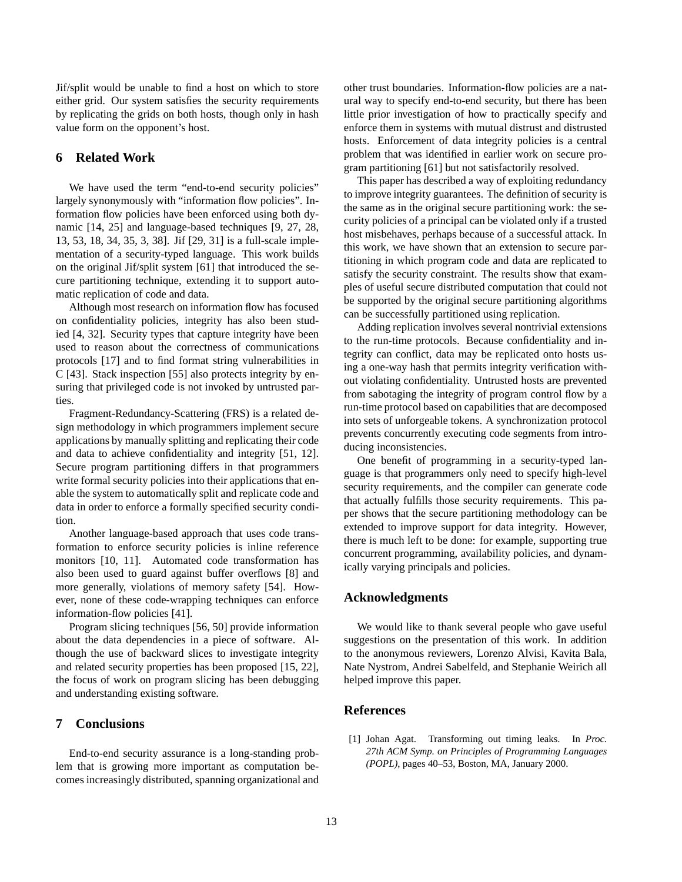Jif/split would be unable to find a host on which to store either grid. Our system satisfies the security requirements by replicating the grids on both hosts, though only in hash value form on the opponent's host.

# **6 Related Work**

We have used the term "end-to-end security policies" largely synonymously with "information flow policies". Information flow policies have been enforced using both dynamic [14, 25] and language-based techniques [9, 27, 28, 13, 53, 18, 34, 35, 3, 38]. Jif [29, 31] is a full-scale implementation of a security-typed language. This work builds on the original Jif/split system [61] that introduced the secure partitioning technique, extending it to support automatic replication of code and data.

Although most research on information flow has focused on confidentiality policies, integrity has also been studied [4, 32]. Security types that capture integrity have been used to reason about the correctness of communications protocols [17] and to find format string vulnerabilities in C [43]. Stack inspection [55] also protects integrity by ensuring that privileged code is not invoked by untrusted parties.

Fragment-Redundancy-Scattering (FRS) is a related design methodology in which programmers implement secure applications by manually splitting and replicating their code and data to achieve confidentiality and integrity [51, 12]. Secure program partitioning differs in that programmers write formal security policies into their applications that enable the system to automatically split and replicate code and data in order to enforce a formally specified security condition.

Another language-based approach that uses code transformation to enforce security policies is inline reference monitors [10, 11]. Automated code transformation has also been used to guard against buffer overflows [8] and more generally, violations of memory safety [54]. However, none of these code-wrapping techniques can enforce information-flow policies [41].

Program slicing techniques [56, 50] provide information about the data dependencies in a piece of software. Although the use of backward slices to investigate integrity and related security properties has been proposed [15, 22], the focus of work on program slicing has been debugging and understanding existing software.

# **7 Conclusions**

End-to-end security assurance is a long-standing problem that is growing more important as computation becomes increasingly distributed, spanning organizational and other trust boundaries. Information-flow policies are a natural way to specify end-to-end security, but there has been little prior investigation of how to practically specify and enforce them in systems with mutual distrust and distrusted hosts. Enforcement of data integrity policies is a central problem that was identified in earlier work on secure program partitioning [61] but not satisfactorily resolved.

This paper has described a way of exploiting redundancy to improve integrity guarantees. The definition of security is the same as in the original secure partitioning work: the security policies of a principal can be violated only if a trusted host misbehaves, perhaps because of a successful attack. In this work, we have shown that an extension to secure partitioning in which program code and data are replicated to satisfy the security constraint. The results show that examples of useful secure distributed computation that could not be supported by the original secure partitioning algorithms can be successfully partitioned using replication.

Adding replication involves several nontrivial extensions to the run-time protocols. Because confidentiality and integrity can conflict, data may be replicated onto hosts using a one-way hash that permits integrity verification without violating confidentiality. Untrusted hosts are prevented from sabotaging the integrity of program control flow by a run-time protocol based on capabilities that are decomposed into sets of unforgeable tokens. A synchronization protocol prevents concurrently executing code segments from introducing inconsistencies.

One benefit of programming in a security-typed language is that programmers only need to specify high-level security requirements, and the compiler can generate code that actually fulfills those security requirements. This paper shows that the secure partitioning methodology can be extended to improve support for data integrity. However, there is much left to be done: for example, supporting true concurrent programming, availability policies, and dynamically varying principals and policies.

# **Acknowledgments**

We would like to thank several people who gave useful suggestions on the presentation of this work. In addition to the anonymous reviewers, Lorenzo Alvisi, Kavita Bala, Nate Nystrom, Andrei Sabelfeld, and Stephanie Weirich all helped improve this paper.

# **References**

[1] Johan Agat. Transforming out timing leaks. In *Proc. 27th ACM Symp. on Principles of Programming Languages (POPL)*, pages 40–53, Boston, MA, January 2000.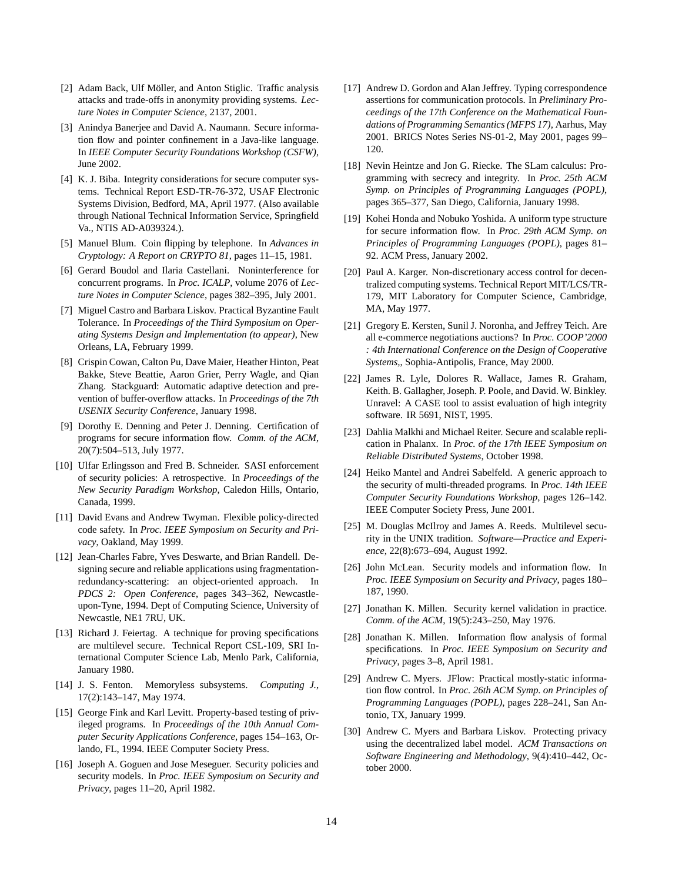- [2] Adam Back, Ulf Möller, and Anton Stiglic. Traffic analysis attacks and trade-offs in anonymity providing systems. *Lecture Notes in Computer Science*, 2137, 2001.
- [3] Anindya Banerjee and David A. Naumann. Secure information flow and pointer confinement in a Java-like language. In *IEEE Computer Security Foundations Workshop (CSFW)*, June 2002.
- [4] K. J. Biba. Integrity considerations for secure computer systems. Technical Report ESD-TR-76-372, USAF Electronic Systems Division, Bedford, MA, April 1977. (Also available through National Technical Information Service, Springfield Va., NTIS AD-A039324.).
- [5] Manuel Blum. Coin flipping by telephone. In *Advances in Cryptology: A Report on CRYPTO 81*, pages 11–15, 1981.
- [6] Gerard Boudol and Ilaria Castellani. Noninterference for concurrent programs. In *Proc. ICALP*, volume 2076 of *Lecture Notes in Computer Science*, pages 382–395, July 2001.
- [7] Miguel Castro and Barbara Liskov. Practical Byzantine Fault Tolerance. In *Proceedings of the Third Symposium on Operating Systems Design and Implementation (to appear)*, New Orleans, LA, February 1999.
- [8] Crispin Cowan, Calton Pu, Dave Maier, Heather Hinton, Peat Bakke, Steve Beattie, Aaron Grier, Perry Wagle, and Qian Zhang. Stackguard: Automatic adaptive detection and prevention of buffer-overflow attacks. In *Proceedings of the 7th USENIX Security Conference*, January 1998.
- [9] Dorothy E. Denning and Peter J. Denning. Certification of programs for secure information flow. *Comm. of the ACM*, 20(7):504–513, July 1977.
- [10] Ulfar Erlingsson and Fred B. Schneider. SASI enforcement of security policies: A retrospective. In *Proceedings of the New Security Paradigm Workshop*, Caledon Hills, Ontario, Canada, 1999.
- [11] David Evans and Andrew Twyman. Flexible policy-directed code safety. In *Proc. IEEE Symposium on Security and Privacy*, Oakland, May 1999.
- [12] Jean-Charles Fabre, Yves Deswarte, and Brian Randell. Designing secure and reliable applications using fragmentationredundancy-scattering: an object-oriented approach. In *PDCS 2: Open Conference*, pages 343–362, Newcastleupon-Tyne, 1994. Dept of Computing Science, University of Newcastle, NE1 7RU, UK.
- [13] Richard J. Feiertag. A technique for proving specifications are multilevel secure. Technical Report CSL-109, SRI International Computer Science Lab, Menlo Park, California, January 1980.
- [14] J. S. Fenton. Memoryless subsystems. *Computing J.*, 17(2):143–147, May 1974.
- [15] George Fink and Karl Levitt. Property-based testing of privileged programs. In *Proceedings of the 10th Annual Computer Security Applications Conference*, pages 154–163, Orlando, FL, 1994. IEEE Computer Society Press.
- [16] Joseph A. Goguen and Jose Meseguer. Security policies and security models. In *Proc. IEEE Symposium on Security and Privacy*, pages 11–20, April 1982.
- [17] Andrew D. Gordon and Alan Jeffrey. Typing correspondence assertions for communication protocols. In *Preliminary Proceedings of the 17th Conference on the Mathematical Foundations of Programming Semantics (MFPS 17)*, Aarhus, May 2001. BRICS Notes Series NS-01-2, May 2001, pages 99– 120.
- [18] Nevin Heintze and Jon G. Riecke. The SLam calculus: Programming with secrecy and integrity. In *Proc. 25th ACM Symp. on Principles of Programming Languages (POPL)*, pages 365–377, San Diego, California, January 1998.
- [19] Kohei Honda and Nobuko Yoshida. A uniform type structure for secure information flow. In *Proc. 29th ACM Symp. on Principles of Programming Languages (POPL)*, pages 81– 92. ACM Press, January 2002.
- [20] Paul A. Karger. Non-discretionary access control for decentralized computing systems. Technical Report MIT/LCS/TR-179, MIT Laboratory for Computer Science, Cambridge, MA, May 1977.
- [21] Gregory E. Kersten, Sunil J. Noronha, and Jeffrey Teich. Are all e-commerce negotiations auctions? In *Proc. COOP'2000 : 4th International Conference on the Design of Cooperative Systems,*, Sophia-Antipolis, France, May 2000.
- [22] James R. Lyle, Dolores R. Wallace, James R. Graham, Keith. B. Gallagher, Joseph. P. Poole, and David. W. Binkley. Unravel: A CASE tool to assist evaluation of high integrity software. IR 5691, NIST, 1995.
- [23] Dahlia Malkhi and Michael Reiter. Secure and scalable replication in Phalanx. In *Proc. of the 17th IEEE Symposium on Reliable Distributed Systems*, October 1998.
- [24] Heiko Mantel and Andrei Sabelfeld. A generic approach to the security of multi-threaded programs. In *Proc. 14th IEEE Computer Security Foundations Workshop*, pages 126–142. IEEE Computer Society Press, June 2001.
- [25] M. Douglas McIlroy and James A. Reeds. Multilevel security in the UNIX tradition. *Software—Practice and Experience*, 22(8):673–694, August 1992.
- [26] John McLean. Security models and information flow. In *Proc. IEEE Symposium on Security and Privacy*, pages 180– 187, 1990.
- [27] Jonathan K. Millen. Security kernel validation in practice. *Comm. of the ACM*, 19(5):243–250, May 1976.
- [28] Jonathan K. Millen. Information flow analysis of formal specifications. In *Proc. IEEE Symposium on Security and Privacy*, pages 3–8, April 1981.
- [29] Andrew C. Myers. JFlow: Practical mostly-static information flow control. In *Proc. 26th ACM Symp. on Principles of Programming Languages (POPL)*, pages 228–241, San Antonio, TX, January 1999.
- [30] Andrew C. Myers and Barbara Liskov. Protecting privacy using the decentralized label model. *ACM Transactions on Software Engineering and Methodology*, 9(4):410–442, October 2000.